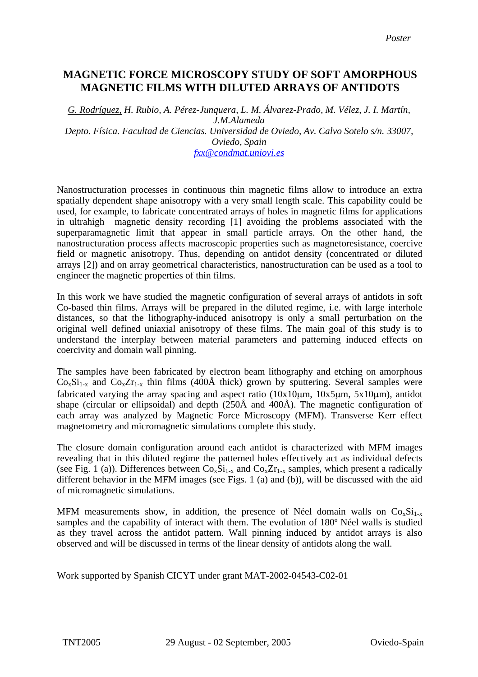## MAGNETIC FORCE MICROSCOPT STUDY OF SOFT AMORPHOUS MAGNETIC FILMS WITH A REPORT OF A MORPHOUS **of antidots MAGNETIC FILMS WITH DILUTED ARRAYS OF ANTIDOTSMAGNETIC FORCE MICROSCOPY STUDY OF SOFT AMORPHOUS**

*G. Rodríguez, H. Rubio, A. Pérez-Junquera, L. M. Álvarez-Prado, M. Vélez, J. I. Martín, J.M.Alameda Depto. Física. Facultad de Ciencias. Universidad de Oviedo, Av. Calvo Sotelo s/n. 33007, Oviedo, Spain fxx@condmat.uniovi.es*

Nanostructuration processes in continuous thin magnetic films allow to introduce an extra spatially dependent shape anisotropy with a very small length scale. This capability could be used, for example, to fabricate concentrated arrays of holes in magnetic films for applications in ultrahigh magnetic density recording [1] avoiding the problems associated with the superparamagnetic limit that appear in small particle arrays. On the other hand, the nanostructuration process affects macroscopic properties such as magnetoresistance, coercive field or magnetic anisotropy. Thus, depending on antidot density (concentrated or diluted arrays [2]) and on array geometrical characteristics, nanostructuration can be used as a tool to engineer the magnetic properties of thin films.

In this work we have studied the magnetic configuration of several arrays of antidots in soft Co-based thin films. Arrays will be prepared in the diluted regime, i.e. with large interhole distances, so that the lithography-induced anisotropy is only a small perturbation on the original well defined uniaxial anisotropy of these films. The main goal of this study is to understand the interplay between material parameters and patterning induced effects on coercivity and domain wall pinning.

The samples have been fabricated by electron beam lithography and etching on amorphous  $Co_xSi_{1-x}$  and  $Co_xZr_{1-x}$  thin films (400Å thick) grown by sputtering. Several samples were fabricated varying the array spacing and aspect ratio (10x10µm, 10x5µm, 5x10µm), antidot shape (circular or ellipsoidal) and depth (250Å and 400Å). The magnetic configuration of each array was analyzed by Magnetic Force Microscopy (MFM). Transverse Kerr effect magnetometry and micromagnetic simulations complete this study.

The closure domain configuration around each antidot is characterized with MFM images revealing that in this diluted regime the patterned holes effectively act as individual defects (see Fig. 1 (a)). Differences between  $Co_xSi_{1-x}$  and  $Co_xZr_{1-x}$  samples, which present a radically different behavior in the MFM images (see Figs. 1 (a) and (b)), will be discussed with the aid of micromagnetic simulations.

MFM measurements show, in addition, the presence of Néel domain walls on  $Co<sub>x</sub>Si<sub>1-x</sub>$ samples and the capability of interact with them. The evolution of 180º Néel walls is studied as they travel across the antidot pattern. Wall pinning induced by antidot arrays is also observed and will be discussed in terms of the linear density of antidots along the wall.

Work supported by Spanish CICYT under grant MAT-2002-04543-C02-01